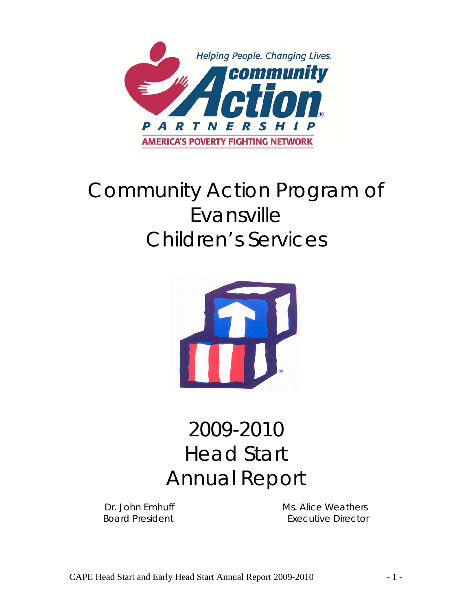

# Community Action Program of Evansville Children's Services



# 2009-2010 Head Start Annual Report

Dr. John Emhuff Ms. Alice Weathers Board President **Executive Director**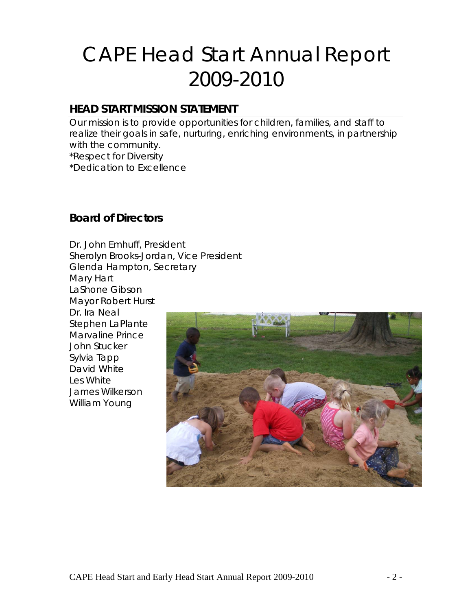# CAPE Head Start Annual Report 2009-2010

## **HEAD START MISSION STATEMENT**

Our mission is to provide opportunities for children, families, and staff to realize their goals in safe, nurturing, enriching environments, in partnership with the community.

\*Respect for Diversity

\*Dedication to Excellence

#### **Board of Directors**

Dr. John Emhuff, President Sherolyn Brooks-Jordan, Vice President Glenda Hampton, Secretary Mary Hart LaShone Gibson Mayor Robert Hurst Dr. Ira Neal Stephen LaPlante Marvaline Prince John Stucker Sylvia Tapp David White Les White James Wilkerson William Young

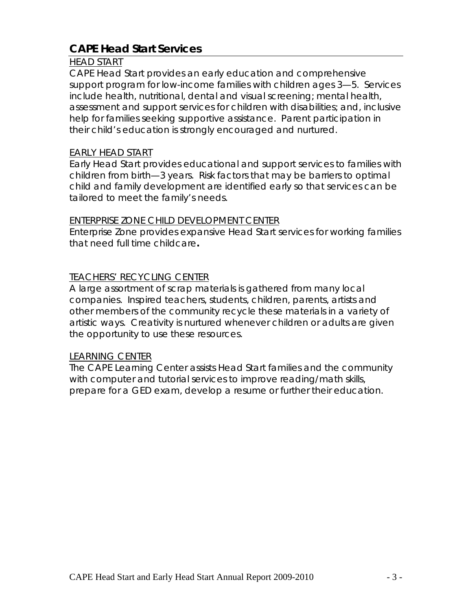## **CAPE Head Start Services**

#### HEAD START

CAPE Head Start provides an early education and comprehensive support program for low-income families with children ages 3—5. Services include health, nutritional, dental and visual screening; mental health, assessment and support services for children with disabilities; and, inclusive help for families seeking supportive assistance. Parent participation in their child's education is strongly encouraged and nurtured.

#### EARLY HEAD START

Early Head Start provides educational and support services to families with children from birth—3 years. Risk factors that may be barriers to optimal child and family development are identified early so that services can be tailored to meet the family's needs.

#### ENTERPRISE ZONE CHILD DEVELOPMENT CENTER

Enterprise Zone provides expansive Head Start services for working families that need full time childcare**.** 

#### TEACHERS' RECYCLING CENTER

A large assortment of scrap materials is gathered from many local companies. Inspired teachers, students, children, parents, artists and other members of the community recycle these materials in a variety of artistic ways. Creativity is nurtured whenever children or adults are given the opportunity to use these resources.

#### LEARNING CENTER

The CAPE Learning Center assists Head Start families and the community with computer and tutorial services to improve reading/math skills, prepare for a GED exam, develop a resume or further their education.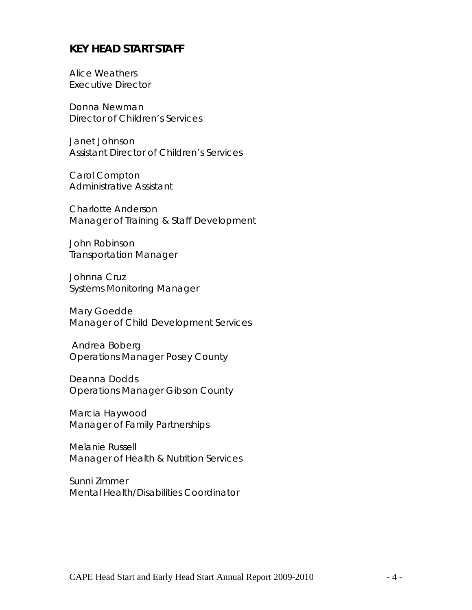#### **KEY HEAD START STAFF**

Alice Weathers Executive Director

Donna Newman Director of Children's Services

Janet Johnson Assistant Director of Children's Services

Carol Compton Administrative Assistant

Charlotte Anderson Manager of Training & Staff Development

John Robinson Transportation Manager

Johnna Cruz Systems Monitoring Manager

Mary Goedde Manager of Child Development Services

 Andrea Boberg Operations Manager Posey County

Deanna Dodds Operations Manager Gibson County

Marcia Haywood Manager of Family Partnerships

Melanie Russell Manager of Health & Nutrition Services

Sunni Zimmer Mental Health/Disabilities Coordinator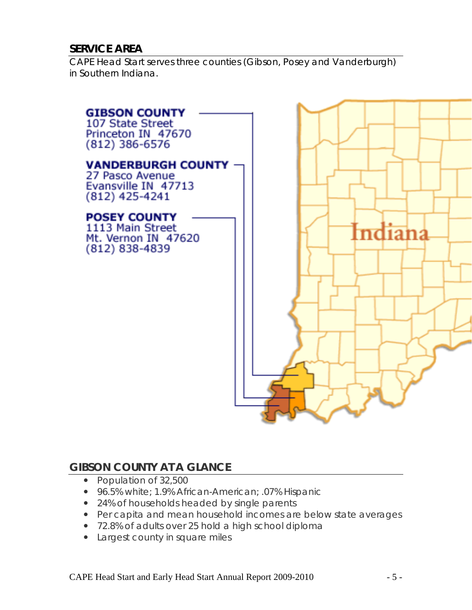### **SERVICE AREA**

CAPE Head Start serves three counties (Gibson, Posey and Vanderburgh) in Southern Indiana.



### **GIBSON COUNTY AT A GLANCE**

- Population of 32,500
- 96.5% white; 1.9% African-American; .07% Hispanic
- 24% of households headed by single parents
- Per capita and mean household incomes are below state averages
- 72.8% of adults over 25 hold a high school diploma
- Largest county in square miles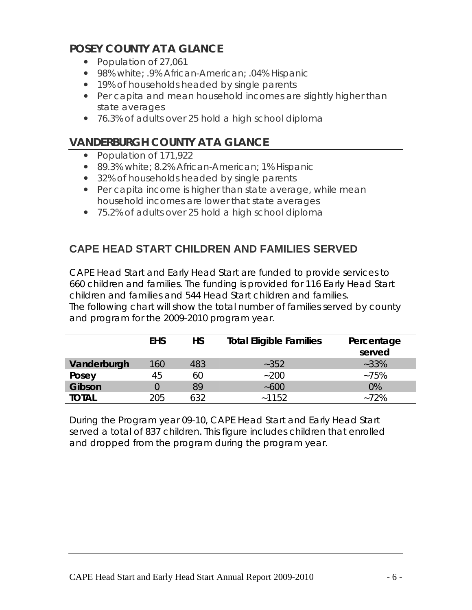# **POSEY COUNTY AT A GLANCE**

- Population of 27,061
- 98% white; .9% African-American; .04% Hispanic
- 19% of households headed by single parents
- Per capita and mean household incomes are slightly higher than state averages
- 76.3% of adults over 25 hold a high school diploma

# **VANDERBURGH COUNTY AT A GLANCE**

- Population of 171,922
- 89.3% white; 8.2% African-American; 1% Hispanic
- 32% of households headed by single parents
- Per capita income is higher than state average, while mean household incomes are lower that state averages
- 75.2% of adults over 25 hold a high school diploma

# **CAPE HEAD START CHILDREN AND FAMILIES SERVED**

CAPE Head Start and Early Head Start are funded to provide services to 660 children and families. The funding is provided for 116 Early Head Start children and families and 544 Head Start children and families. The following chart will show the total number of families served by county and program for the 2009-2010 program year.

|              | <b>EHS</b>       | <b>HS</b> | <b>Total Eligible Families</b> | Percentage<br>served |
|--------------|------------------|-----------|--------------------------------|----------------------|
| Vanderburgh  | 160 <sub>1</sub> | 483       | $-352$                         | $-33%$               |
| Posey        | 45               | 60        | $-200$                         | $-75%$               |
| Gibson       |                  | 89        | ~100                           | 0%                   |
| <b>TOTAL</b> | 205              | 632       | ~1152                          | $-72%$               |

During the Program year 09-10, CAPE Head Start and Early Head Start served a total of 837 children. This figure includes children that enrolled and dropped from the program during the program year.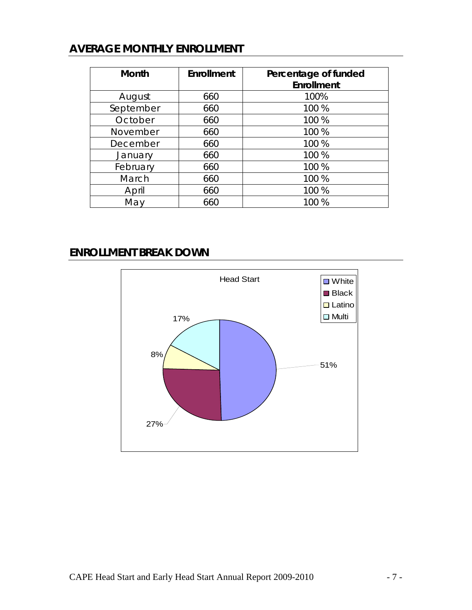# **AVERAGE MONTHLY ENROLLMENT**

| <b>Month</b> | <b>Enrollment</b> | Percentage of funded<br>Enrollment |
|--------------|-------------------|------------------------------------|
| August       | 660               | 100%                               |
| September    | 660               | 100 %                              |
| October      | 660               | 100 %                              |
| November     | 660               | 100 %                              |
| December     | 660               | 100 %                              |
| January      | 660               | 100 %                              |
| February     | 660               | 100 %                              |
| March        | 660               | 100 %                              |
| April        | 660               | 100 %                              |
| May          | 660               | 100 %                              |

# **ENROLLMENT BREAK DOWN**

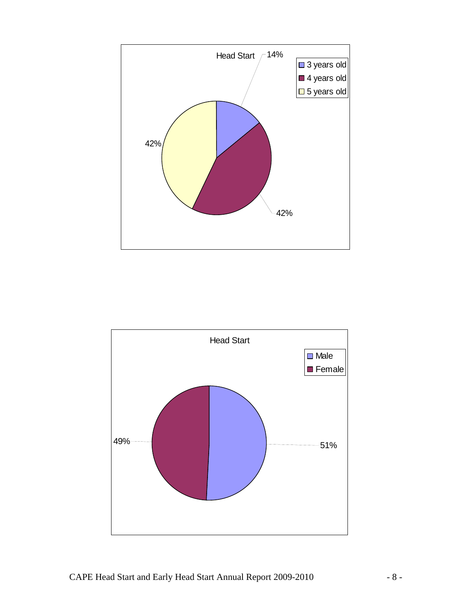

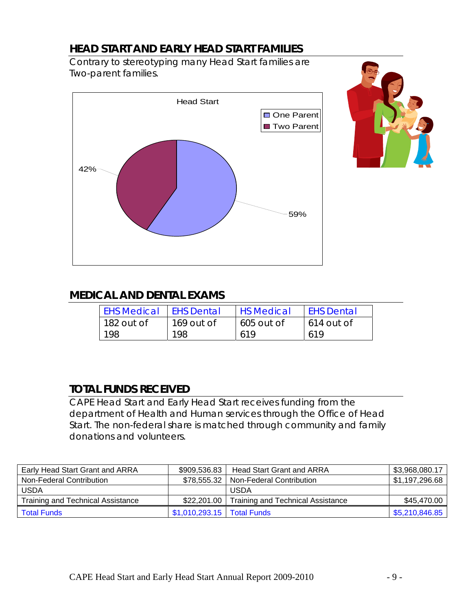# **HEAD START AND EARLY HEAD START FAMILIES**

Contrary to stereotyping many Head Start families are Two-parent families.





# **MEDICAL AND DENTAL EXAMS**

| <b>EHS Medical</b> | <b>LEHS Dental</b> | <b>HS Medical</b> | <b>EHS Dental</b> |
|--------------------|--------------------|-------------------|-------------------|
| 182 out of         | 169 out of         | 605 out of        | 614 out of        |
| 198                | 198                | 619               | 619               |

# **TOTAL FUNDS RECEIVED**

CAPE Head Start and Early Head Start receives funding from the department of Health and Human services through the Office of Head Start. The non-federal share is matched through community and family donations and volunteers.

| Early Head Start Grant and ARRA   | \$909.536.83                 | Head Start Grant and ARRA                | \$3,968,080.17 |
|-----------------------------------|------------------------------|------------------------------------------|----------------|
| Non-Federal Contribution          |                              | \$78,555.32   Non-Federal Contribution   | \$1,197,296.68 |
| <b>USDA</b>                       |                              | <b>USDA</b>                              |                |
| Training and Technical Assistance | \$22,201.00                  | <b>Training and Technical Assistance</b> | \$45,470.00    |
| <b>Total Funds</b>                | \$1,010,293.15   Total Funds |                                          | \$5,210,846.85 |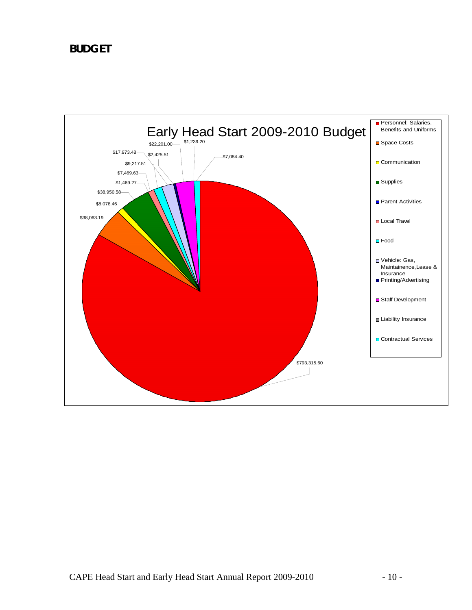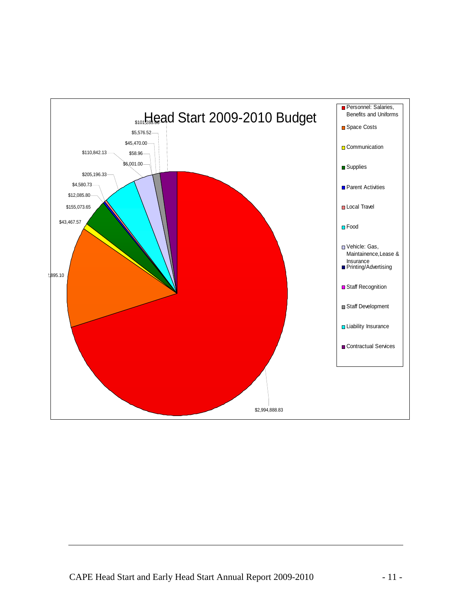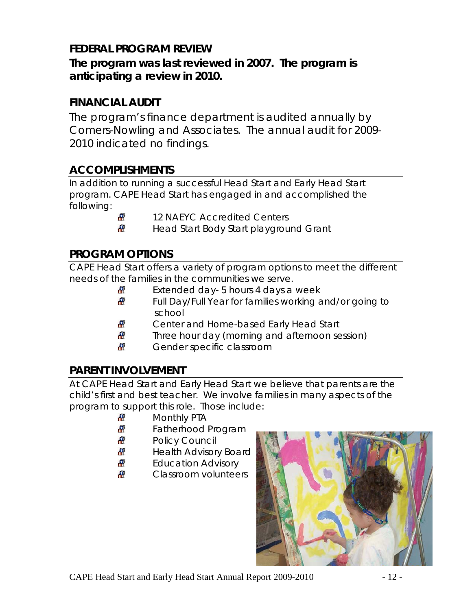# **FEDERAL PROGRAM REVIEW**

# **The program was last reviewed in 2007. The program is anticipating a review in 2010.**

## **FINANCIAL AUDIT**

The program's finance department is audited annually by Comers-Nowling and Associates. The annual audit for 2009- 2010 indicated no findings.

# **ACCOMPLISHMENTS**

In addition to running a successful Head Start and Early Head Start program. CAPE Head Start has engaged in and accomplished the following:

- 
- 12 NAEYC Accredited Centers
- Æ Head Start Body Start playground Grant

# **PROGRAM OPTIONS**

CAPE Head Start offers a variety of program options to meet the different needs of the families in the communities we serve.

- Æ Extended day- 5 hours 4 days a week
- Æ Full Day/Full Year for families working and/or going to school
- Æ Center and Home-based Early Head Start
- Æ Three hour day (morning and afternoon session)
- Æ Gender specific classroom

# **PARENT INVOLVEMENT**

At CAPE Head Start and Early Head Start we believe that parents are the child's first and best teacher. We involve families in many aspects of the program to support this role. Those include:

- Æ Monthly PTA
- Æ Fatherhood Program
- æ Policy Council
- Æ Health Advisory Board
- Æ Education Advisory
- ÆP Classroom volunteers

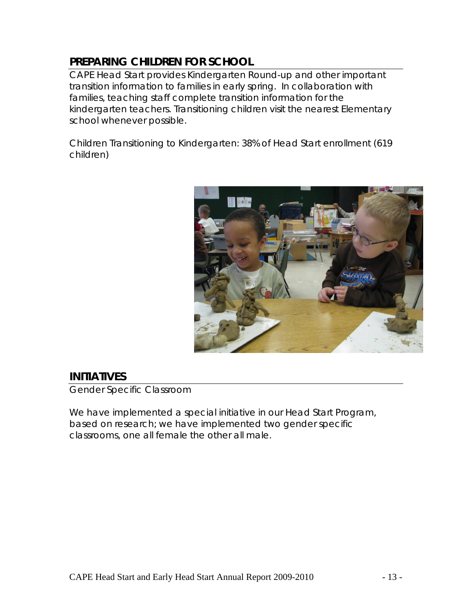# **PREPARING CHILDREN FOR SCHOOL**

CAPE Head Start provides Kindergarten Round-up and other important transition information to families in early spring. In collaboration with families, teaching staff complete transition information for the kindergarten teachers. Transitioning children visit the nearest Elementary school whenever possible.

Children Transitioning to Kindergarten: 38% of Head Start enrollment (619 children)



### **INITIATIVES**

Gender Specific Classroom

We have implemented a special initiative in our Head Start Program, based on research; we have implemented two gender specific classrooms, one all female the other all male.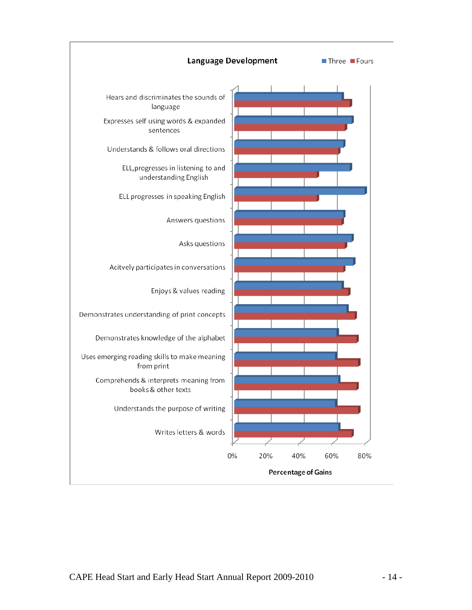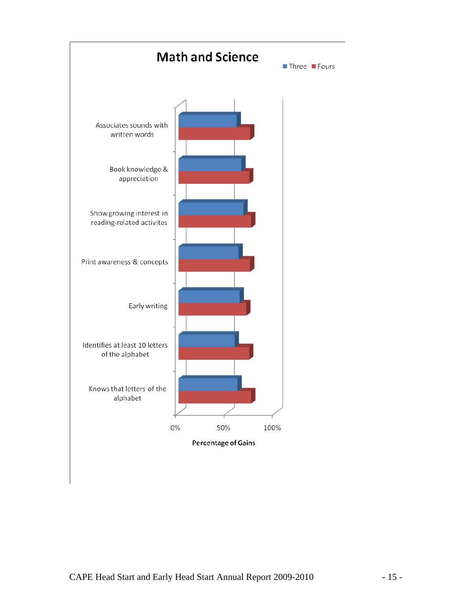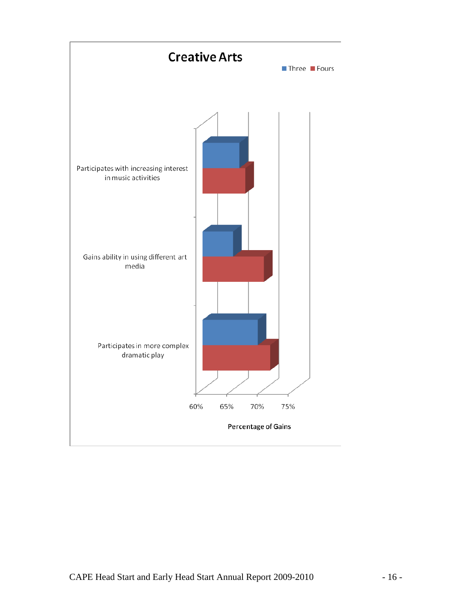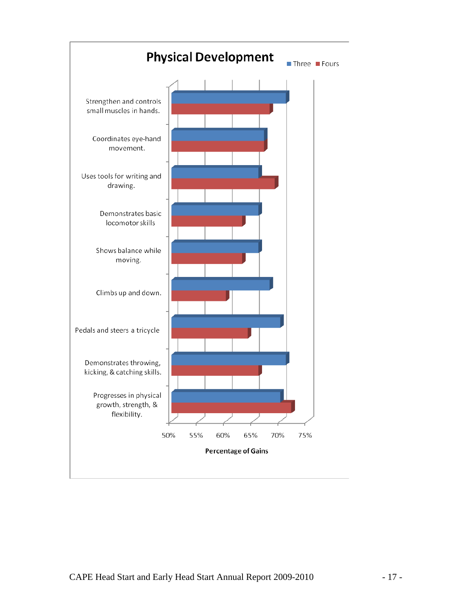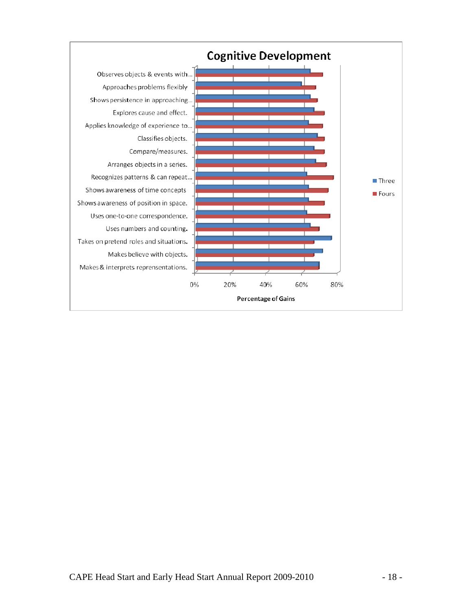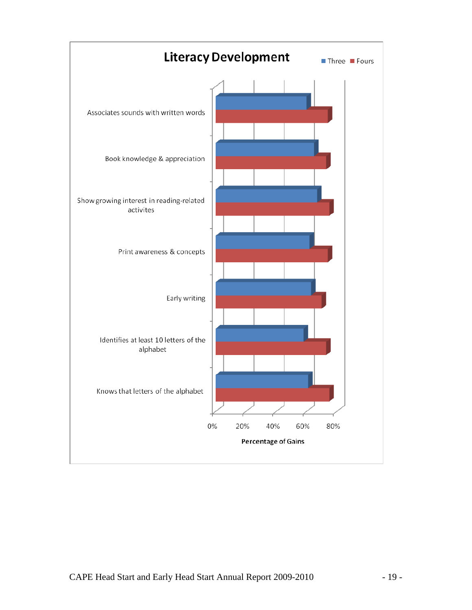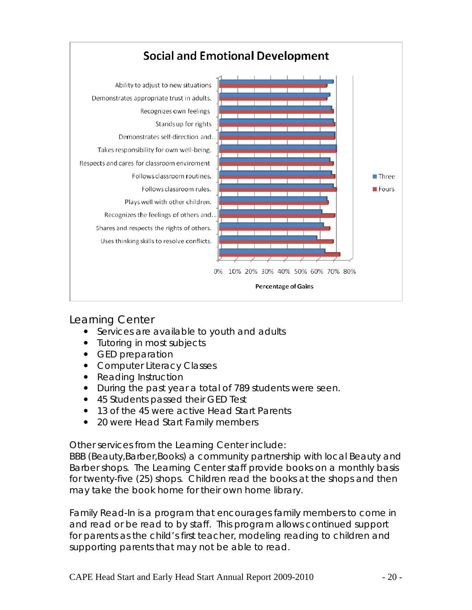

Learning Center

- Services are available to youth and adults
- Tutoring in most subjects
- GED preparation
- Computer Literacy Classes
- Reading Instruction
- During the past year a total of 789 students were seen.
- 45 Students passed their GED Test
- 13 of the 45 were active Head Start Parents
- 20 were Head Start Family members

Other services from the Learning Center include:

BBB (Beauty,Barber,Books) a community partnership with local Beauty and Barber shops. The Learning Center staff provide books on a monthly basis for twenty-five (25) shops. Children read the books at the shops and then may take the book home for their own home library.

Family Read-In is a program that encourages family members to come in and read or be read to by staff. This program allows continued support for parents as the child's first teacher, modeling reading to children and supporting parents that may not be able to read.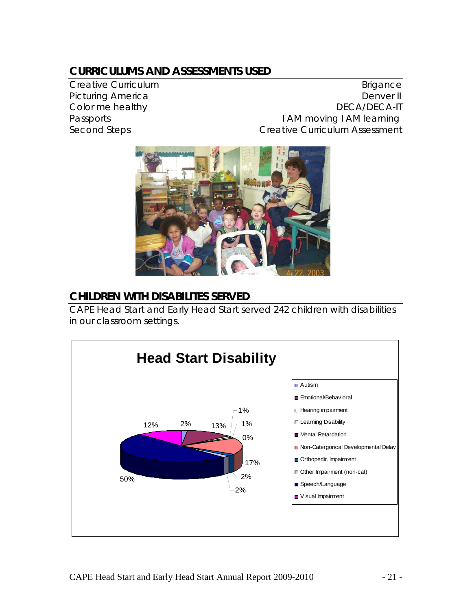# **CURRICULUMS AND ASSESSMENTS USED**

Creative Curriculum **Brigance** Brigance Picturing America **Denver II** Color me healthy **DECA/DECA-IT** Passports **I AM moving I AM learning** Second Steps **Creative Curriculum Assessment** 



### **CHILDREN WITH DISABILITES SERVED**

CAPE Head Start and Early Head Start served 242 children with disabilities in our classroom settings.

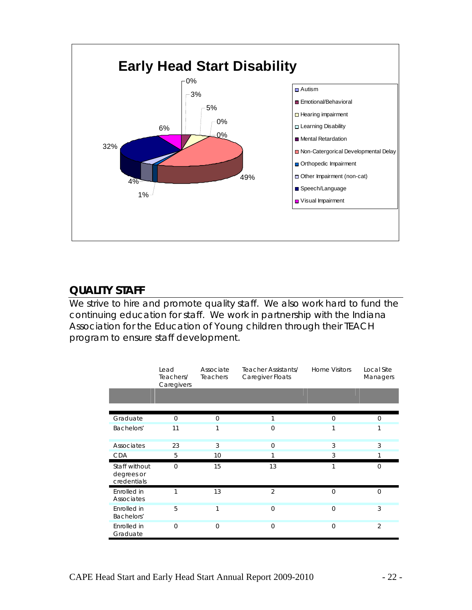

## **QUALITY STAFF**

We strive to hire and promote quality staff. We also work hard to fund the continuing education for staff. We work in partnership with the Indiana Association for the Education of Young children through their TEACH program to ensure staff development.

|                                            | Lead<br>Teachers/<br>Caregivers | Associate<br>Teachers | Teacher Assistants/<br>Caregiver Floats | <b>Home Visitors</b> | Local Site<br>Managers |
|--------------------------------------------|---------------------------------|-----------------------|-----------------------------------------|----------------------|------------------------|
|                                            |                                 |                       |                                         |                      |                        |
| Graduate                                   | $\Omega$                        | $\Omega$              | 1                                       | $\Omega$             | $\Omega$               |
| Bachelors'                                 | 11                              |                       | $\overline{0}$                          | 1                    |                        |
| Associates                                 | 23                              | 3                     | $\mathbf 0$                             | 3                    | 3                      |
| <b>CDA</b>                                 | 5                               | 10                    |                                         | 3                    |                        |
| Staff without<br>degrees or<br>credentials | $\Omega$                        | 15                    | 13                                      | 1                    | $\Omega$               |
| Enrolled in<br>Associates                  | 1                               | 13                    | $\overline{2}$                          | $\Omega$             | $\Omega$               |
| Enrolled in<br>Bachelors'                  | 5                               | 1                     | $\overline{0}$                          | $\overline{0}$       | 3                      |
| Enrolled in<br>Graduate                    | $\Omega$                        | $\Omega$              | $\Omega$                                | $\Omega$             | $\overline{2}$         |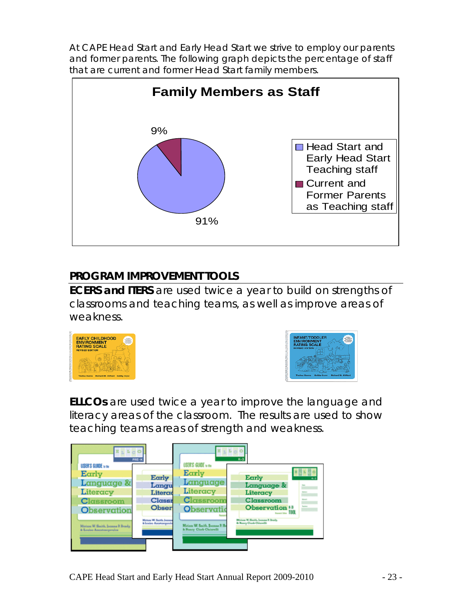At CAPE Head Start and Early Head Start we strive to employ our parents and former parents. The following graph depicts the percentage of staff that are current and former Head Start family members.



# **PROGRAM IMPROVEMENT TOOLS**

**ECERS and ITERS** are used twice a year to build on strengths of classrooms and teaching teams, as well as improve areas of weakness.





**ELLCOs** are used twice a year to improve the language and literacy areas of the classroom. The results are used to show teaching teams areas of strength and weakness.